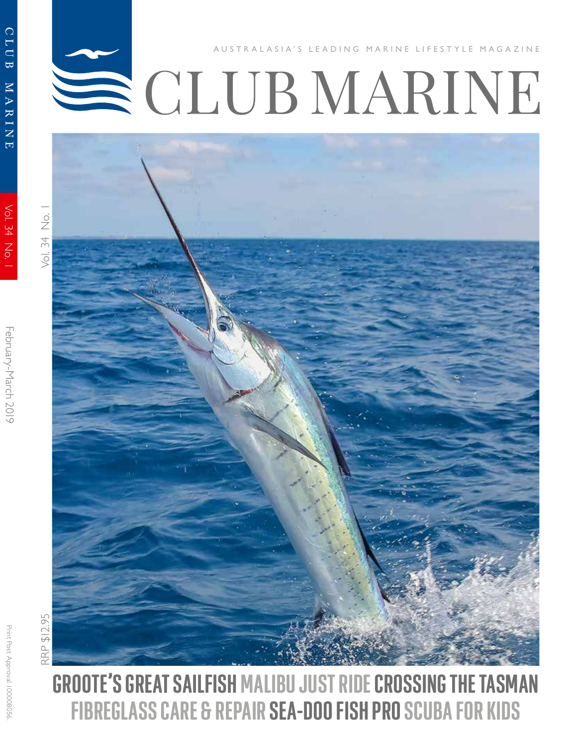# CLUB MARINE LIFESTYLE MAGAZINE



 $\frac{\dot{\mathrm{o}}}{\mathrm{Z}}$ 

CLUB

MARINE

Vol. 34 No.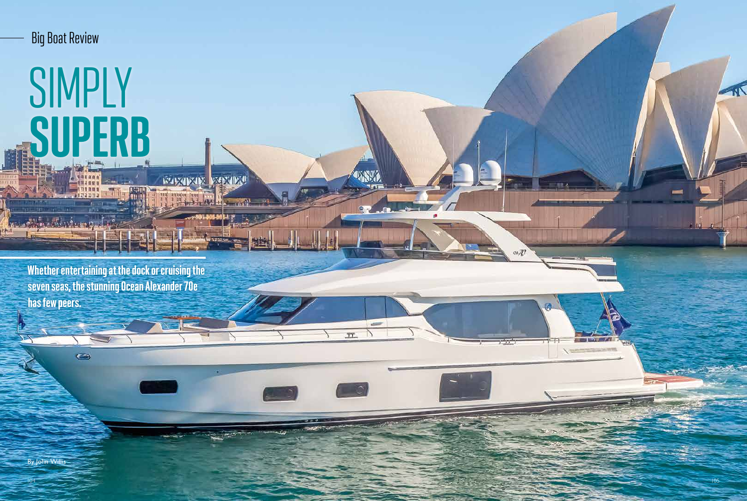Whether entertaining at the dock or cruising the seven seas, the stunning Ocean Alexander 70e has few peers.

 $\bullet$ 

*KANADADE REGENDAD* 

**THE WA** 

**TANA** 

 $\alpha$  and

 $\overline{\phantom{a}}$ 

 $\overline{\phantom{a}}$ 

 $\pi$ .

By John Willis

Big Boat Review

## SIMPLY **CIIDE!**



 $= 12.4$ 

 $\alpha \mathbb{Z}^n$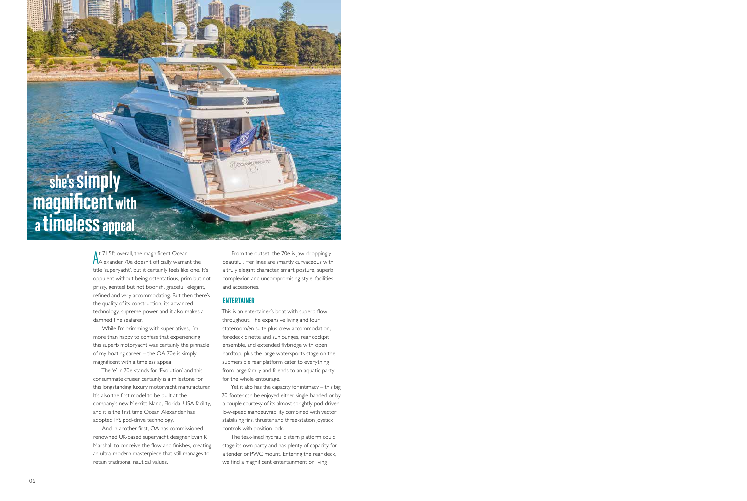At 71.5ft overall, the magnificent Ocean<br>AAlexander 70e doesn't officially warrant the It 71.5ft overall, the magnificent Ocean title 'superyacht', but it certainly feels like one. It's oppulent without being ostentatious, prim but not prissy, genteel but not boorish, graceful, elegant, refined and very accommodating. But then there's the quality of its construction, its advanced technology, supreme power and it also makes a damned fine seafarer.

While I'm brimming with superlatives, I'm more than happy to confess that experiencing this superb motoryacht was certainly the pinnacle of my boating career – the OA 70e is simply magnificent with a timeless appeal.

The 'e' in 70e stands for 'Evolution' and this consummate cruiser certainly is a milestone for this longstanding luxury motoryacht manufacturer. It's also the first model to be built at the company's new Merritt Island, Florida, USA facility, and it is the first time Ocean Alexander has adopted IPS pod-drive technology.

And in another first, OA has commissioned renowned UK-based superyacht designer Evan K Marshall to conceive the flow and finishes, creating an ultra-modern masterpiece that still manages to retain traditional nautical values.

From the outset, the 70e is jaw-droppingly beautiful. Her lines are smartly curvaceous with a truly elegant character, smart posture, superb complexion and uncompromising style, facilities and accessories.

### ENTERTAINER

(7) OCEAN ALS

This is an entertainer's boat with superb flow throughout. The expansive living and four stateroom/en suite plus crew accommodation, foredeck dinette and sunlounges, rear cockpit ensemble, and extended flybridge with open hardtop, plus the large watersports stage on the submersible rear platform cater to everything from large family and friends to an aquatic party for the whole entourage.

Yet it also has the capacity for intimacy – this big 70-footer can be enjoyed either single-handed or by a couple courtesy of its almost sprightly pod-driven low-speed manoeuvrability combined with vector stabilising fins, thruster and three-station joystick controls with position lock.

The teak-lined hydraulic stern platform could stage its own party and has plenty of capacity for a tender or PWC mount. Entering the rear deck, we find a magnificent entertainment or living

### she's simply magnificent with a timeless appeal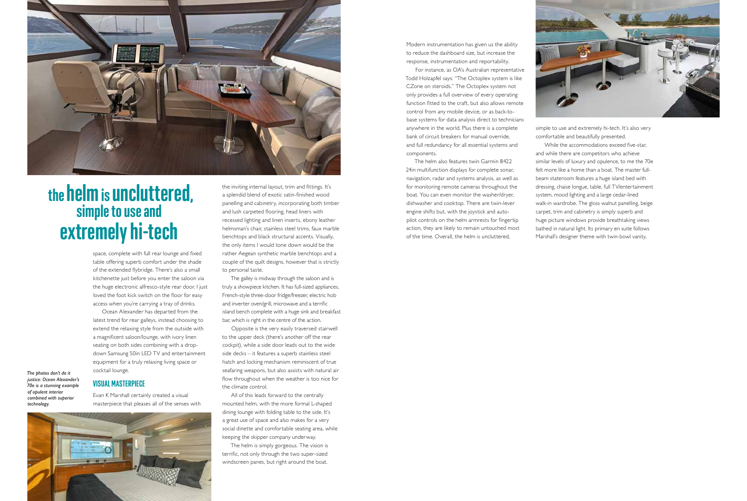space, complete with full rear lounge and fixed table offering superb comfort under the shade of the extended flybridge. There's also a small kitchenette just before you enter the saloon via the huge electronic alfresco-style rear door. I just loved the foot kick switch on the floor for easy access when you're carrying a tray of drinks.

Ocean Alexander has departed from the latest trend for rear galleys, instead choosing to extend the relaxing style from the outside with a magnificent saloon/lounge, with ivory linen seating on both sides combining with a dropdown Samsung 50in LED TV and entertainment equipment for a truly relaxing living space or cocktail lounge.

### VISUAL MASTERPIECE

Evan K Marshall certainly created a visual masterpiece that pleases all of the senses with



the inviting internal layout, trim and fittings. It's a splendid blend of exotic satin-finished wood panelling and cabinetry, incorporating both timber and lush carpeted flooring, head liners with recessed lighting and linen inserts, ebony leather helmsman's chair, stainless steel trims, faux marble benchtops and black structural accents. Visually, the only items I would tone down would be the rather Aegean synthetic marble benchtops and a couple of the quilt designs, however that is strictly to personal taste.

The galley is midway through the saloon and is truly a showpiece kitchen. It has full-sized appliances, French-style three-door fridge/freezer, electric hob and inverter oven/grill, microwave and a terrific island bench complete with a huge sink and breakfast bar, which is right in the centre of the action.

Opposite is the very easily traversed stairwell to the upper deck (there's another off the rear cockpit), while a side door leads out to the wide side decks – it features a superb stainless steel hatch and locking mechanism reminiscent of true seafaring weapons, but also assists with natural air flow throughout when the weather is too nice for the climate control.

All of this leads forward to the centrally mounted helm, with the more formal L-shaped dining lounge with folding table to the side. It's a great use of space and also makes for a very social dinette and comfortable seating area, while keeping the skipper company underway.

The helm is simply gorgeous. The vision is terrific, not only through the two super-sized windscreen panes, but right around the boat.



### the helm is uncluttered, simple to use and extremely hi-tech

Modern instrumentation has given us the ability to reduce the dashboard size, but increase the response, instrumentation and reportability.

For instance, as OA's Australian representative Todd Holzapfel says: "The Octoplex system is like CZone on steroids." The Octoplex system not only provides a full overview of every operating function fitted to the craft, but also allows remote control from any mobile device, or as back-tobase systems for data analysis direct to technicians anywhere in the world. Plus there is a complete bank of circuit breakers for manual override, and full redundancy for all essential systems and components.

The helm also features twin Garmin 8422 24in multifunction displays for complete sonar, navigation, radar and systems analysis, as well as for monitoring remote cameras throughout the boat. You can even monitor the washer/dryer, dishwasher and cooktop. There are twin-lever engine shifts but, with the joystick and autopilot controls on the helm armrests for fingertip action, they are likely to remain untouched most of the time. Overall, the helm is uncluttered,



simple to use and extremely hi-tech. It's also very comfortable and beautifully presented. While the accommodations exceed five-star, and while there are competitors who achieve similar levels of luxury and opulence, to me the 70e felt more like a home than a boat. The master fullbeam stateroom features a huge island bed with dressing, chaise longue, table, full TV/entertainment system, mood lighting and a large cedar-lined walk-in wardrobe. The gloss walnut panelling, beige carpet, trim and cabinetry is simply superb and huge picture windows provide breathtaking views bathed in natural light. Its primary en suite follows

Marshall's designer theme with twin-bowl vanity,

*The photos don't do it justice: Ocean Alexander's 70e is a stunning example of opulent interior combined with superior technology.*